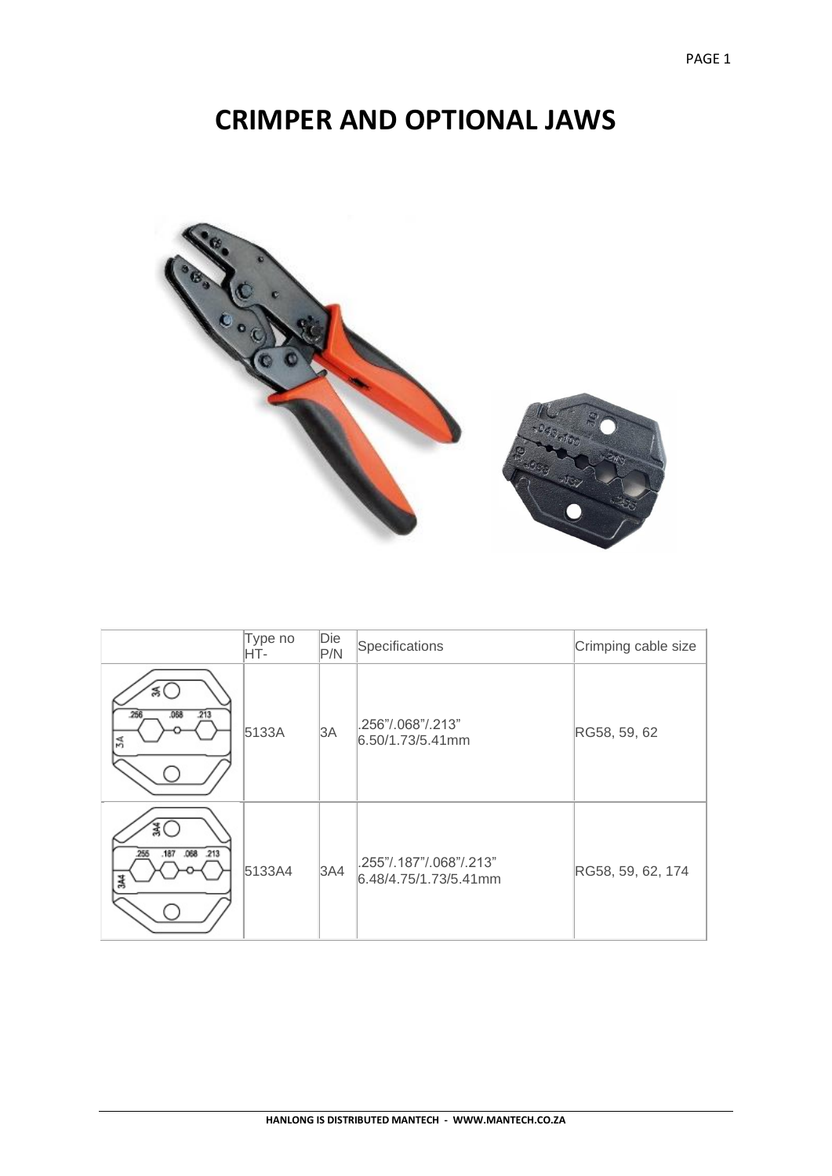## **CRIMPER AND OPTIONAL JAWS**



|                              | Type no<br>HT- | Die<br>P/N | Specifications                                   | Crimping cable size |
|------------------------------|----------------|------------|--------------------------------------------------|---------------------|
| 266<br>.068<br>.213<br>34    | 5133A          | 3A         | .256"/.068"/.213"<br>$6.50/1.73/5.41$ mm         | RG58, 59, 62        |
| .213<br>.068<br>.256<br>.187 | 5133A4         | 3A4        | .255"/.187"/.068"/.213"<br>6.48/4.75/1.73/5.41mm | RG58, 59, 62, 174   |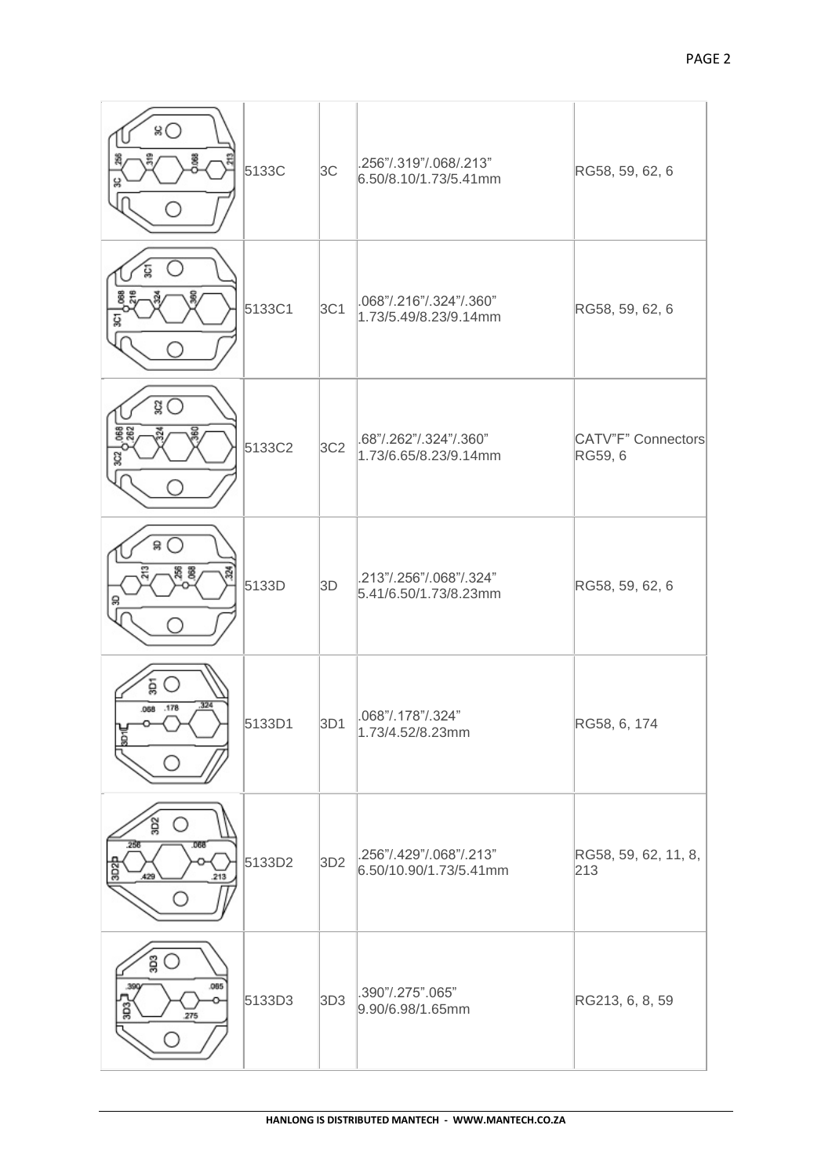| 80<br>8<br>딞                             | 5133C  | 3C              | .256"/.319"/.068/.213"<br>$6.50/8.10/1.73/5.41$ mm | RG58, 59, 62, 6               |
|------------------------------------------|--------|-----------------|----------------------------------------------------|-------------------------------|
| ğ                                        | 5133C1 | 3C1             | .068"/.216"/.324"/.360"<br>1.73/5.49/8.23/9.14mm   | RG58, 59, 62, 6               |
| gО<br><b>BE2</b><br>g                    | 5133C2 | 3C <sub>2</sub> | .68"/.262"/.324"/.360"<br>1.73/6.65/8.23/9.14mm    | CATV"F" Connectors<br>RG59, 6 |
| 읋<br>g                                   | 5133D  | 3D              | .213"/.256"/.068"/.324"<br>5.41/6.50/1.73/8.23mm   | RG58, 59, 62, 6               |
| គ្គ<br>324<br>.068 .178                  | 5133D1 | 3D1             | .068"/.178"/.324"<br>1.73/4.52/8.23mm              | RG58, 6, 174                  |
| g<br>.256<br>.068<br>3D25<br>.213<br>429 | 5133D2 | 3D <sub>2</sub> | .256"/.429"/.068"/.213"<br>6.50/10.90/1.73/5.41mm  | RG58, 59, 62, 11, 8,<br>213   |
| ន្ល (<br>.085<br>g<br>.275               | 5133D3 | 3D3             | .390"/.275".065"<br>9.90/6.98/1.65mm               | RG213, 6, 8, 59               |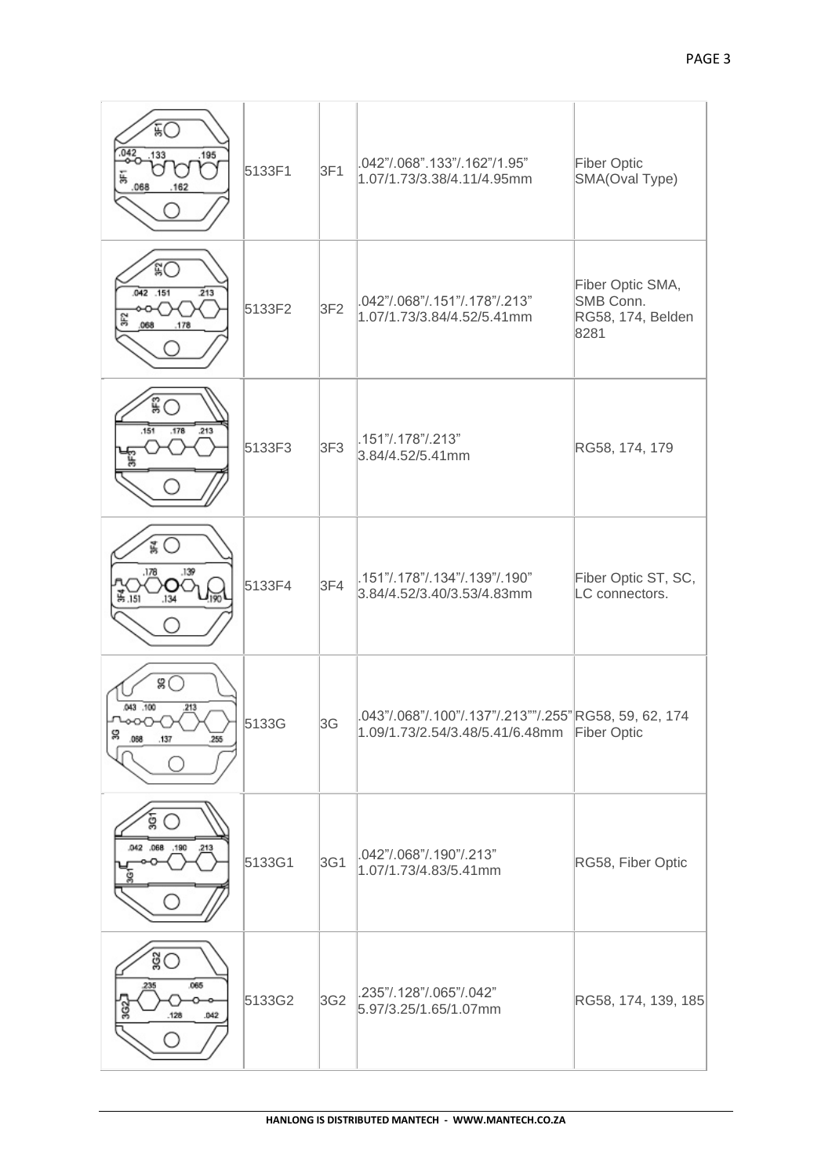| 矶<br>.195<br>133<br>068<br>162                                 | 5133F1 | 3F1             | .042"/.068".133"/.162"/1.95"<br>1.07/1.73/3.38/4.11/4.95mm                               | Fiber Optic<br>SMA(Oval Type)                              |
|----------------------------------------------------------------|--------|-----------------|------------------------------------------------------------------------------------------|------------------------------------------------------------|
| šС<br>$.042 - .151$<br>213<br>몱<br>.178                        | 5133F2 | 3F2             | .042"/.068"/.151"/.178"/.213"<br>1.07/1.73/3.84/4.52/5.41mm                              | Fiber Optic SMA,<br>SMB Conn.<br>RG58, 174, Belden<br>8281 |
| $\degree$<br>,151<br>.178<br>.213                              | 5133F3 | 3F <sub>3</sub> | .151"/.178"/.213"<br>3.84/4.52/5.41mm                                                    | RG58, 174, 179                                             |
| .178<br>.139<br>농.151                                          | 5133F4 | 3F4             | .151"/.178"/.134"/.139"/.190"<br>3.84/4.52/3.40/3.53/4.83mm                              | Fiber Optic ST, SC,<br>LC connectors.                      |
| $\mathscr{B}$<br>043 .100<br>.213<br>g<br>.068<br>.137<br>.255 | 5133G  | 3G              | .043"/.068"/.100"/.137"/.213""/.255"RG58, 59, 62, 174<br>1.09/1.73/2.54/3.48/5.41/6.48mm | <b>Fiber Optic</b>                                         |
| ġ<br>.042 .068 .190<br>.213                                    | 5133G1 | 3G1             | .042"/.068"/.190"/.213"<br>1.07/1.73/4.83/5.41mm                                         | RG58, Fiber Optic                                          |
| $\overset{3}{\circ}$<br>.065<br>235<br>.128<br>.042            | 5133G2 | 3G2             | .235"/.128"/.065"/.042"<br>5.97/3.25/1.65/1.07mm                                         | RG58, 174, 139, 185                                        |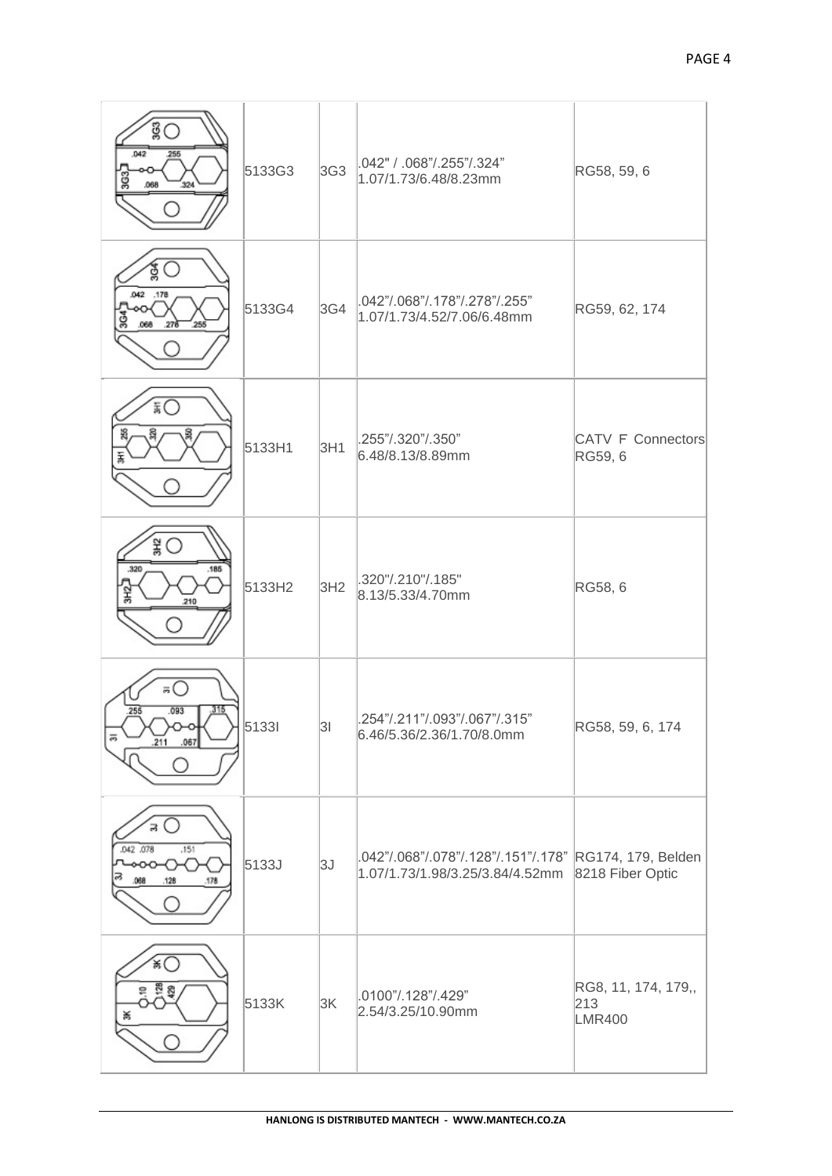| gС<br>.042<br>255<br>ខ្លី<br>.068<br>324                            | 5133G3 | 3G <sub>3</sub> | .042" / .068"/.255"/.324"<br>1.07/1.73/6.48/8.23mm                                        | RG58, 59, 6                                 |
|---------------------------------------------------------------------|--------|-----------------|-------------------------------------------------------------------------------------------|---------------------------------------------|
| ğ<br>.042 .178<br>ğ<br>.278<br>255<br>.068                          | 5133G4 | 3G4             | .042"/.068"/.178"/.278"/.255"<br>1.07/1.73/4.52/7.06/6.48mm                               | RG59, 62, 174                               |
| āΟ                                                                  | 5133H1 | 3H1             | .255"/.320"/.350"<br>6.48/8.13/8.89mm                                                     | CATV F Connectors<br>RG59, 6                |
| $\frac{2}{3}$<br>,320<br>.185<br>꿏<br>.210                          | 5133H2 | 3H2             | .320"/.210"/.185"<br>8.13/5.33/4.70mm                                                     | RG58, 6                                     |
| $\bar{\mathbf{z}}$ $\cup$<br>255<br>.093<br>315<br>5<br>211<br>.067 | 51331  | 3               | .254"/.211"/.093"/.067"/.315"<br>6.46/5.36/2.36/1.70/8.0mm                                | RG58, 59, 6, 174                            |
| 3<br>.042 .078<br>.151<br>ൟ<br>068<br>.178<br>.128                  | 5133J  | 3J              | .042"/.068"/.078"/.128"/.151"/.178" RG174, 179, Belden<br>1.07/1.73/1.98/3.25/3.84/4.52mm | 8218 Fiber Optic                            |
| 关                                                                   | 5133K  | 3K              | .0100"/.128"/.429"<br>2.54/3.25/10.90mm                                                   | RG8, 11, 174, 179,,<br>213<br><b>LMR400</b> |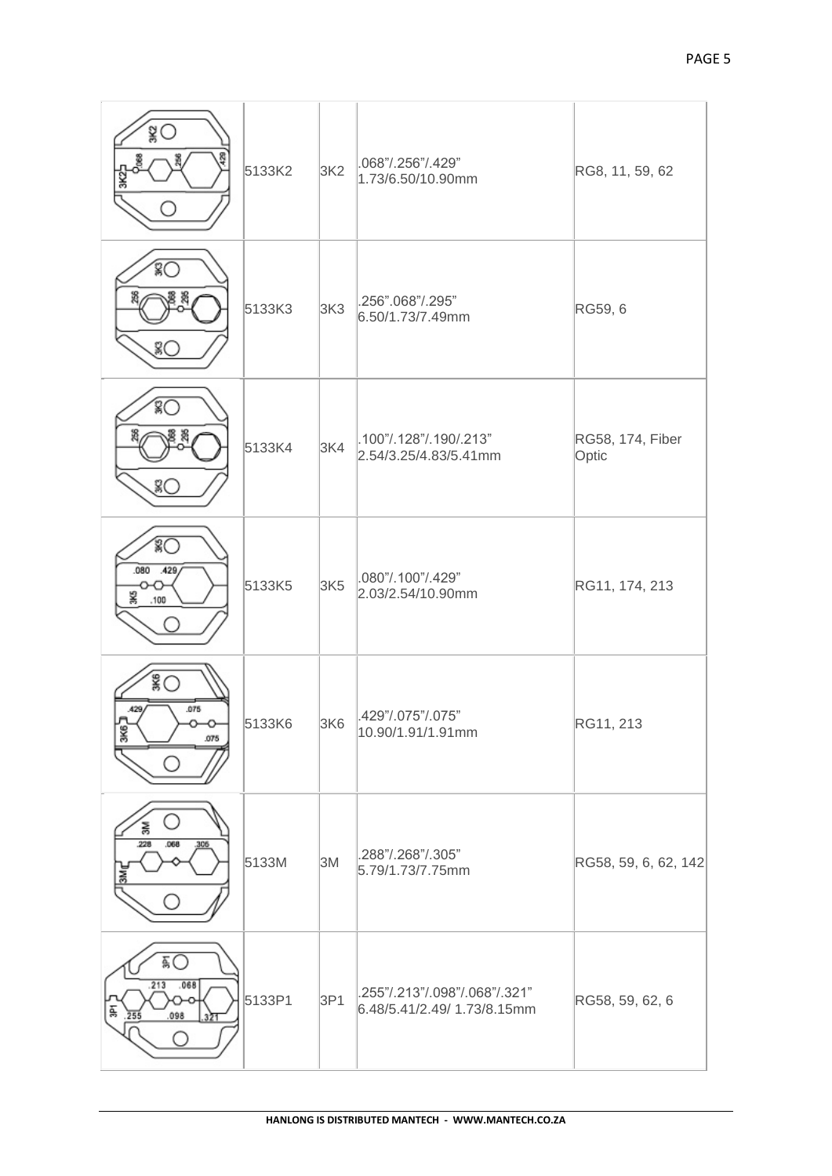| $\frac{3}{8}$<br>g                         | 5133K2 | 3K2             | .068"/.256"/.429"<br>1.73/6.50/10.90mm                       | RG8, 11, 59, 62           |
|--------------------------------------------|--------|-----------------|--------------------------------------------------------------|---------------------------|
| ŝС<br>묆                                    | 5133K3 | 3K3             | .256".068"/.295"<br>6.50/1.73/7.49mm                         | RG59, 6                   |
| ŝО<br>Z)                                   | 5133K4 | 3K4             | .100"/.128"/.190/.213"<br>2.54/3.25/4.83/5.41mm              | RG58, 174, Fiber<br>Optic |
| ்<br>.080<br>.429<br>¥<br>.100             | 5133K5 | 3K <sub>5</sub> | .080"/.100"/.429"<br>2.03/2.54/10.90mm                       | RG11, 174, 213            |
| $\mathbb{S}^{\infty}$<br>.075<br>¥<br>.075 | 5133K6 | 3K6             | .429"/.075"/.075"<br>10.90/1.91/1.91mm                       | RG11, 213                 |
| 훎<br>228<br>.068<br>306<br>3Mr             | 5133M  | 3M              | .288"/.268"/.305"<br>5.79/1.73/7.75mm                        | RG58, 59, 6, 62, 142      |
| ÃО<br>.213<br>.068<br>ġ,<br>.098<br>255    | 5133P1 | 3P1             | .255"/.213"/.098"/.068"/.321"<br>6.48/5.41/2.49/ 1.73/8.15mm | RG58, 59, 62, 6           |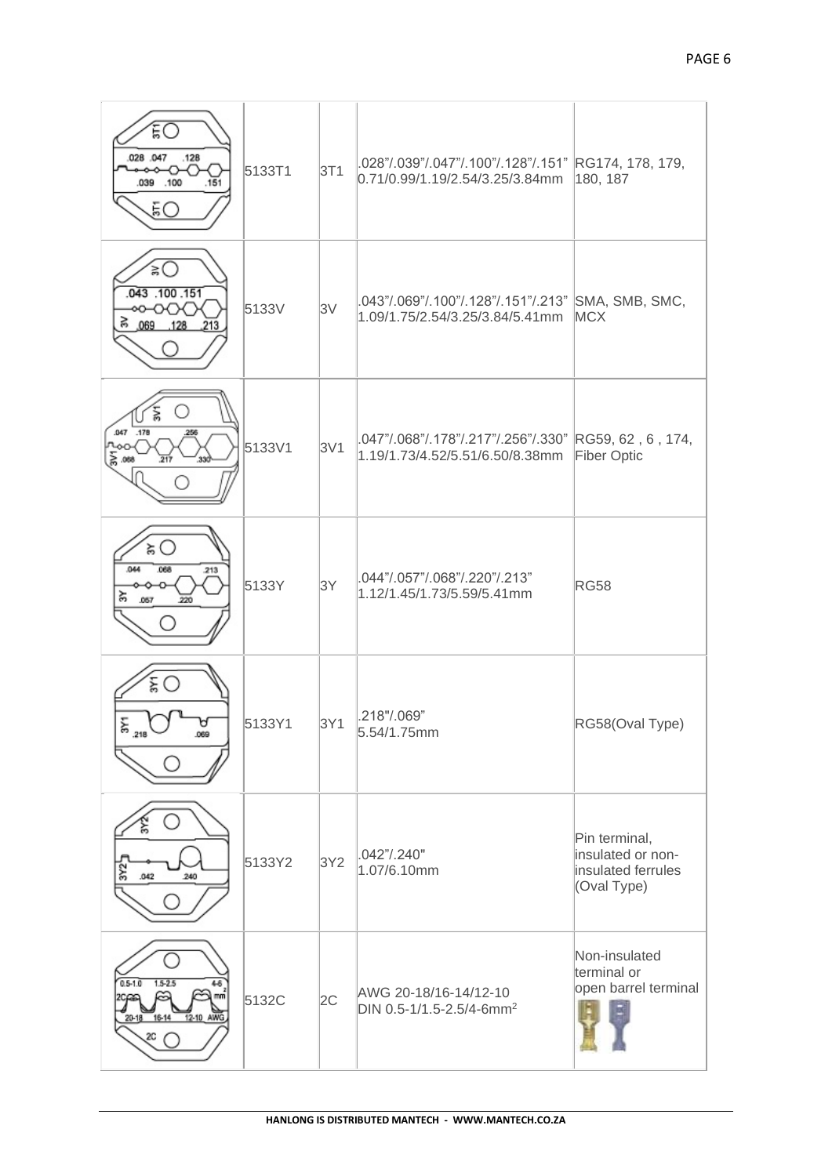| ŧО<br>028 047<br>.128<br>.039<br>.100<br>.151<br>БO                       | 5133T1 | 3T1 | .028"/.039"/.047"/.100"/.128"/.151" RG174, 178, 179,<br>0.71/0.99/1.19/2.54/3.25/3.84mm  | 180, 187                                                                |
|---------------------------------------------------------------------------|--------|-----|------------------------------------------------------------------------------------------|-------------------------------------------------------------------------|
| ≲।<br>.043 .100 .151<br>∞∽∞<br>ි 069 128<br>.213                          | 5133V  | 3V  | .043"/.069"/.100"/.128"/.151"/.213" SMA, SMB, SMC,<br>1.09/1.75/2.54/3.25/3.84/5.41mm    | <b>MCX</b>                                                              |
| .047 .178<br>256<br>모<br>동.088<br>$\frac{1}{217}$<br>33                   | 5133V1 | 3V1 | .047"/.068"/.178"/.217"/.256"/.330" RG59, 62, 6, 174,<br>1.19/1.73/4.52/5.51/6.50/8.38mm | Fiber Optic                                                             |
| ξŚ.<br>.044<br>.068<br>.213<br>줐<br>.057<br>220                           | 5133Y  | 3Y  | .044"/.057"/.068"/.220"/.213"<br>1.12/1.45/1.73/5.59/5.41mm                              | <b>RG58</b>                                                             |
| ξO<br>$\frac{218}{2}$<br>.069                                             | 5133Y1 | 3Y1 | .218"/.069"<br>5.54/1.75mm                                                               | RG58(Oval Type)                                                         |
| 3Y2<br>.042<br>240                                                        | 5133Y2 | 3Y2 | .042"/.240"<br>1.07/6.10mm                                                               | Pin terminal,<br>insulated or non-<br>insulated ferrules<br>(Oval Type) |
| $0.5 - 1.0$<br>$1.5 - 2.5$<br>48<br>12-10 AWG<br>$20 - 18$<br>16-14<br>zс | 5132C  | 2C  | AWG 20-18/16-14/12-10<br>DIN 0.5-1/1.5-2.5/4-6mm <sup>2</sup>                            | Non-insulated<br>terminal or<br>open barrel terminal                    |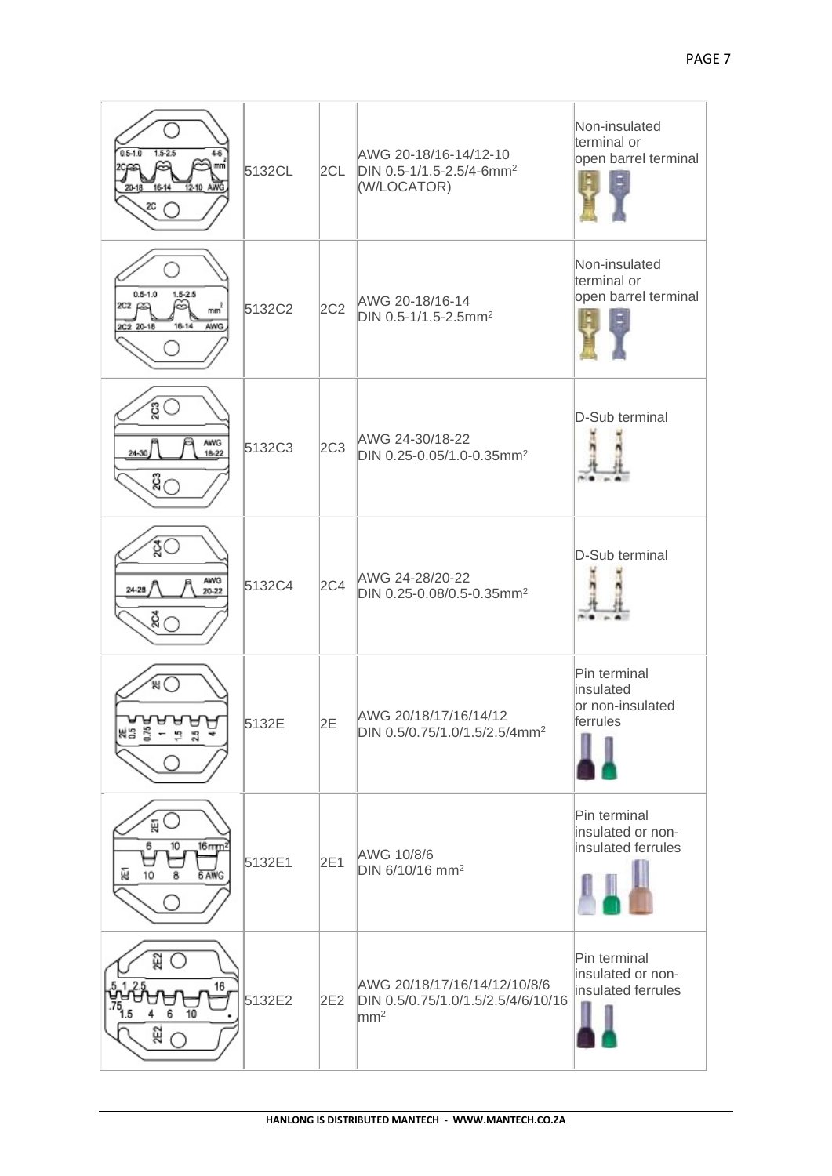| $0.5 - 1.0$<br>$1.5 - 2.5$<br>48<br>12-10 AWG<br>16-14<br>$20 - 18$<br>20                       | 5132CL | 2CL             | AWG 20-18/16-14/12-10<br>DIN 0.5-1/1.5-2.5/4-6mm <sup>2</sup><br>(W/LOCATOR)          | Non-insulated<br>terminal or<br>open barrel terminal      |
|-------------------------------------------------------------------------------------------------|--------|-----------------|---------------------------------------------------------------------------------------|-----------------------------------------------------------|
| $0.5 - 1.0$<br>$1.5 - 2.5$<br>mm <sup>2</sup><br>202 ည©<br>$16 - 14$<br><b>AWG</b><br>2C2 20-18 | 5132C2 | 2C <sub>2</sub> | AWG 20-18/16-14<br>DIN 0.5-1/1.5-2.5mm <sup>2</sup>                                   | Non-insulated<br>terminal or<br>open barrel terminal      |
| ĝΟ<br><b>AWG</b><br>$24 - 30$<br>$18 - 22$<br>ឌី $\bigcap$                                      | 5132C3 | 2C <sub>3</sub> | AWG 24-30/18-22<br>DIN 0.25-0.05/1.0-0.35mm <sup>2</sup>                              | D-Sub terminal                                            |
| ४ू<br>AWG<br>24-28<br>$20 - 22$<br>$\overline{\mathfrak{g}}_{\bigcap}$                          | 5132C4 | 2C <sub>4</sub> | AWG 24-28/20-22<br>DIN 0.25-0.08/0.5-0.35mm <sup>2</sup>                              | D-Sub terminal                                            |
| жO<br>⊌<br>ᇦ<br>NS 5                                                                            | 5132E  | 2E              | AWG 20/18/17/16/14/12<br>DIN 0.5/0.75/1.0/1.5/2.5/4mm <sup>2</sup>                    | Pin terminal<br>insulated<br>or non-insulated<br>ferrules |
| 띥<br>6.<br>$16$ mm <sup>2</sup><br>10<br>Ŵ<br>10<br>6 AW                                        | 5132E1 | 2E1             | AWG 10/8/6<br>DIN 6/10/16 mm <sup>2</sup>                                             | Pin terminal<br>insulated or non-<br>insulated ferrules   |
| ଥି<br>16<br>10<br>252                                                                           | 5132E2 | 2E2             | AWG 20/18/17/16/14/12/10/8/6<br>DIN 0.5/0.75/1.0/1.5/2.5/4/6/10/16<br>mm <sup>2</sup> | Pin terminal<br>insulated or non-<br>insulated ferrules   |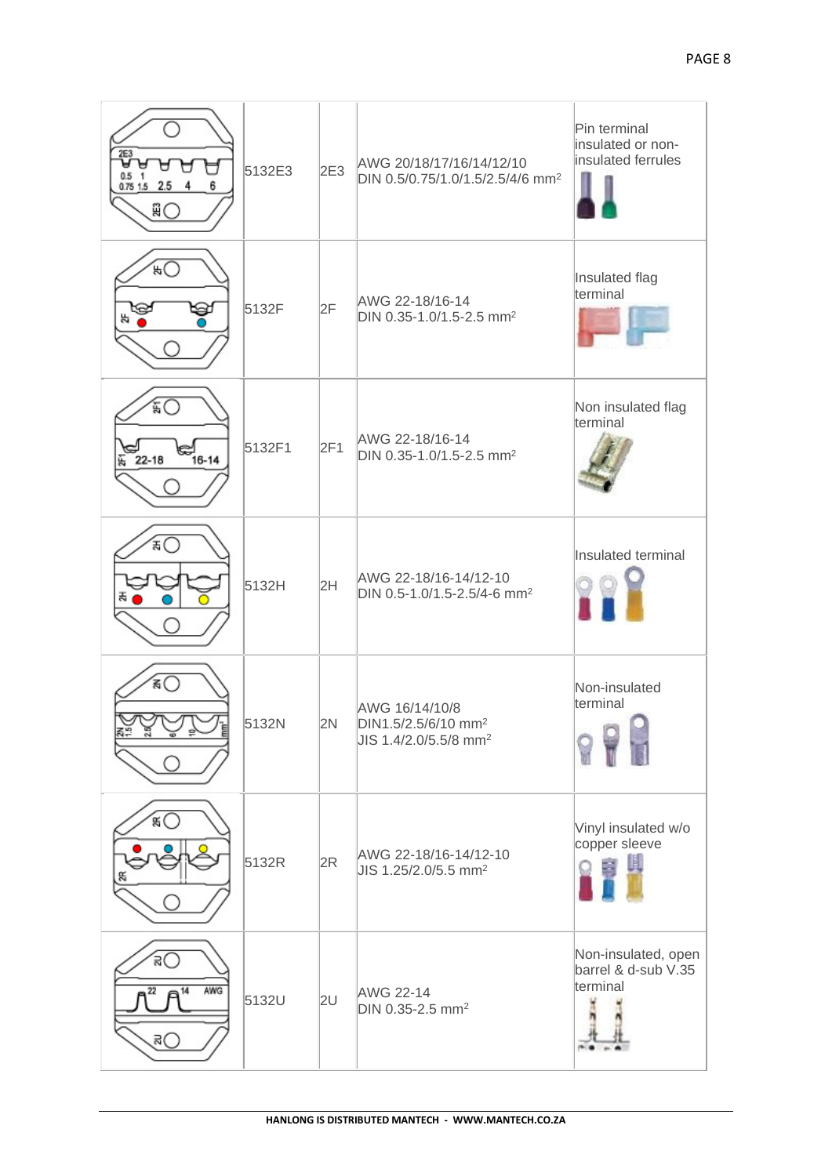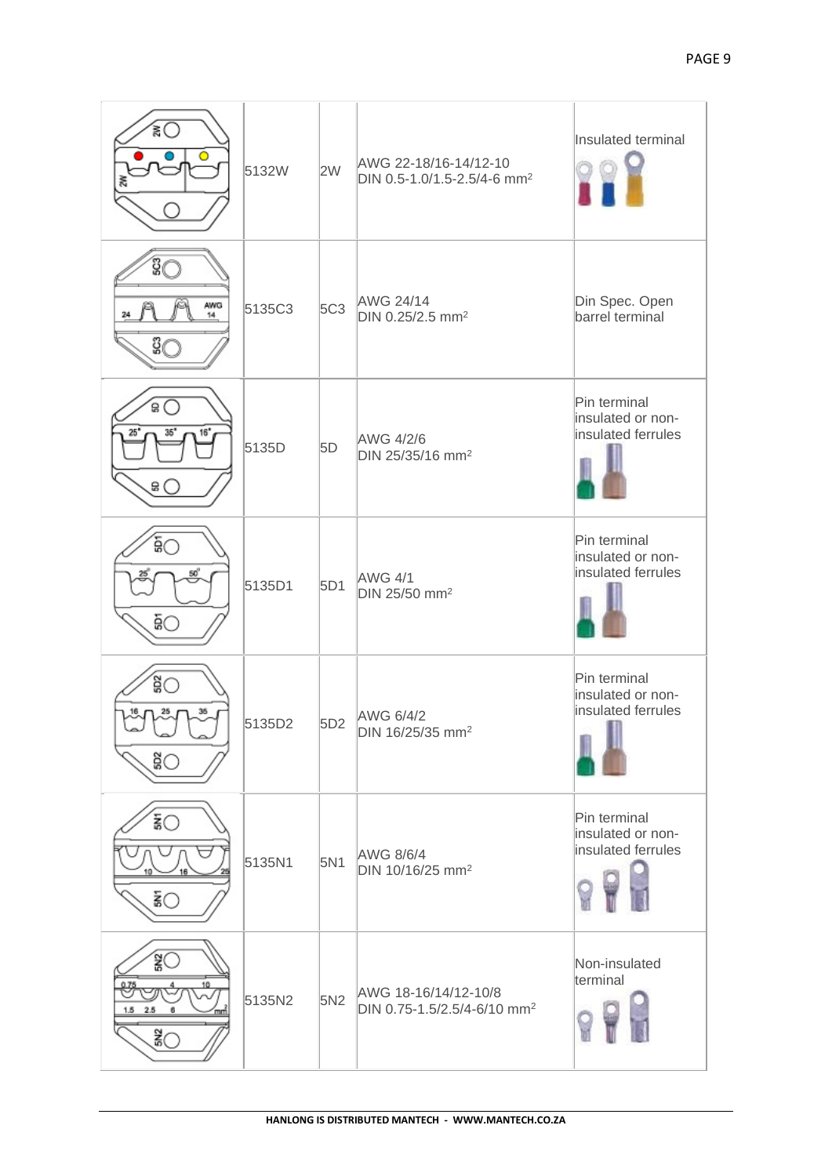